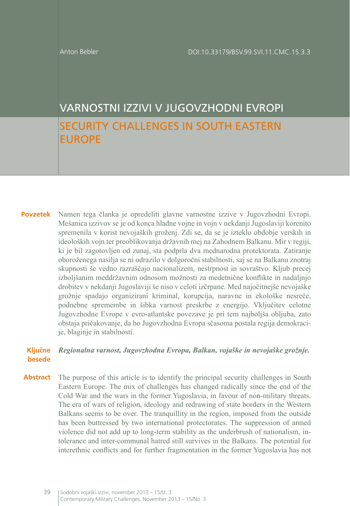# VARNOSTNI IZZIVI V JUGOVZHODNI EVROPI SECURITY CHALLENGES IN SOUTH EASTERN EUROPE

**Povzetek** Namen tega članka je opredeliti glavne varnostne izzive v Jugovzhodni Evropi. Mešanica izzivov se je od konca hladne vojne in vojn v nekdanji Jugoslaviji korenito spremenila v korist nevojaških groženj. Zdi se, da se je izteklo obdobje verskih in ideoloških vojn ter preoblikovanja državnih mej na Zahodnem Balkanu. Mir v regiji, ki je bil zagotovljen od zunaj, sta podprla dva mednarodna protektorata. Zatiranje oboroženega nasilja se ni odrazilo v dolgoročni stabilnosti, saj se na Balkanu znotraj skupnosti še vedno razraščajo nacionalizem, nestrpnost in sovraštvo. Kljub precej izboljšanim meddržavnim odnosom možnosti za medetnične konflikte in nadaljnjo drobitev v nekdanji Jugoslaviji še niso v celoti izčrpane. Med najočitnejše nevojaške grožnje spadajo organizirani kriminal, korupcija, naravne in ekološke nesreče, podnebne spremembe in šibka varnost preskrbe z energijo. Vključitev celotne Jugovzhodne Evrope v evro-atlantske povezave je pri tem najboljša obljuba, zato obstaja pričakovanje, da bo Jugovzhodna Evropa sčasoma postala regija demokracije, blaginje in stabilnosti.

#### **Ključne besede** *Regionalna varnost, Jugovzhodna Evropa, Balkan, vojaške in nevojaške grožnje.*

**Abstract** The purpose of this article is to identify the principal security challenges in South Eastern Europe. The mix of challenges has changed radically since the end of the Cold War and the wars in the former Yugoslavia, in favour of non-military threats. The era of wars of religion, ideology and redrawing of state borders in the Western Balkans seems to be over. The tranquillity in the region, imposed from the outside has been buttressed by two international protectorates. The suppression of armed violence did not add up to long-term stability as the underbrush of nationalism, intolerance and inter-communal hatred still survives in the Balkans. The potential for interethnic conflicts and for further fragmentation in the former Yugoslavia has not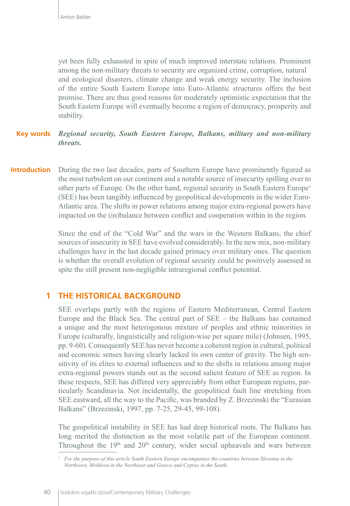yet been fully exhausted in spite of much improved interstate relations. Prominent among the non-military threats to security are organized crime, corruption, natural and ecological disasters, climate change and weak energy security. The inclusion of the entire South Eastern Europe into Euro-Atlantic structures offers the best promise. There are thus good reasons for moderately optimistic expectation that the South Eastern Europe will eventually become a region of democracy, prosperity and stability.

#### **Key words** *Regional security, South Eastern Europe, Balkans, military and non-military threats.*

**Introduction** During the two last decades, parts of Southern Europe have prominently figured as the most turbulent on our continent and a notable source of insecurity spilling over to other parts of Europe. On the other hand, regional security in South Eastern Europe<sup>1</sup> (SEE) has been tangibly influenced by geopolitical developments in the wider Euro-Atlantic area. The shifts in power relations among major extra-regional powers have impacted on the (in)balance between conflict and cooperation within in the region.

> Since the end of the "Cold War" and the wars in the Western Balkans, the chief sources of insecurity in SEE have evolved considerably. In the new mix, non-military challenges have in the last decade gained primacy over military ones. The question is whether the overall evolution of regional security could be positively assessed in spite the still present non-negligible intraregional conflict potential.

### **1 THE HISTORICAL BACKGROUND**

SEE overlaps partly with the regions of Eastern Mediterranean, Central Eastern Europe and the Black Sea. The central part of SEE – the Balkans has contained a unique and the most heterogonous mixture of peoples and ethnic minorities in Europe (culturally, linguistically and religion-wise per square mile) (Johnsen, 1995, pp. 9-60). Consequently SEE has never become a coherent region in cultural, political and economic senses having clearly lacked its own center of gravity. The high sensitivity of its elites to external influences and to the shifts in relations among major extra-regional powers stands out as the second salient feature of SEE as region. In these respects, SEE has differed very appreciably from other European regions, particularly Scandinavia. Not incidentally, the geopolitical fault line stretching from SEE eastward, all the way to the Pacific, was branded by Z. Brzezinski the "Eurasian Balkans" (Brzezinski, 1997, pp. 7-25, 29-45, 99-108).

The geopolitical instability in SEE has had deep historical roots. The Balkans has long merited the distinction as the most volatile part of the European continent. Throughout the 19<sup>th</sup> and 20<sup>th</sup> century, wider social upheavals and wars between

*<sup>1</sup> For the purpose of this article South Eastern Europe encompanies the countries between Slovenia in the Northwest, Moldova in the Northeast and Greece and Cyprus in the South.*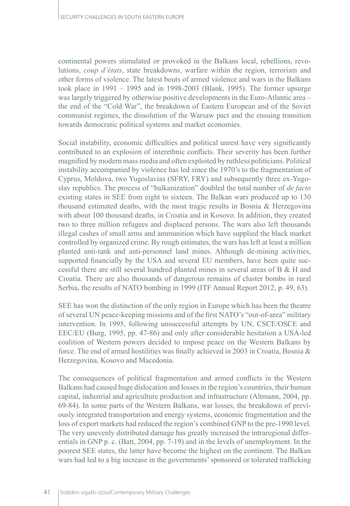continental powers stimulated or provoked in the Balkans local, rebellions, revolutions, *coup d'états*, state breakdowns, warfare within the region, terrorism and other forms of violence. The latest bouts of armed violence and wars in the Balkans took place in 1991 – 1995 and in 1998-2003 (Blank, 1995). The former upsurge was largely triggered by otherwise positive developments in the Euro-Atlantic area – the end of the "Cold War", the breakdown of Eastern European and of the Soviet communist regimes, the dissolution of the Warsaw pact and the ensuing transition towards democratic political systems and market economies.

Social instability, economic difficulties and political unrest have very significantly contributed to an explosion of interethnic conflicts. Their severity has been further magnified by modern mass media and often exploited by ruthless politicians. Political instability accompanied by violence has led since the 1970's to the fragmentation of Cyprus, Moldova, two Yugoslavias (SFRY, FRY) and subsequently three ex-Yugoslav republics. The process of "balkanization" doubled the total number of *de facto* existing states in SEE from eight to sixteen. The Balkan wars produced up to 130 thousand estimated deaths, with the most tragic results in Bosnia & Herzegovina with about 100 thousand deaths, in Croatia and in Kosovo. In addition, they created two to three million refugees and displaced persons. The wars also left thousands illegal cashes of small arms and ammunition which have supplied the black market controlled by organized crime. By rough estimates, the wars has left at least a million planted anti-tank and anti-personnel land mines. Although de-mining activities, supported financially by the USA and several EU members, have been quite successful there are still several hundred planted mines in several areas of B & H and Croatia. There are also thousands of dangerous remains of cluster bombs in rural Serbia, the results of NATO bombing in 1999 (ITF Annual Report 2012, p. 49, 63).

SEE has won the distinction of the only region in Europe which has been the theatre of several UN peace-keeping missions and of the first NATO's "out-of-area" military intervention. In 1995, following unsuccessful attempts by UN, CSCE/OSCE and EEC/EU (Burg, 1995, pp. 47-86) and only after considerable hesitation a USA-led coalition of Western powers decided to impose peace on the Western Balkans by force. The end of armed hostilities was finally achieved in 2003 in Croatia, Bosnia & Herzegovina, Kosovo and Macedonia.

The consequences of political fragmentation and armed conflicts in the Western Balkans had caused huge dislocation and losses in the region's countries, their human capital, industrial and agriculture production and infrastructure (Altmann, 2004, pp. 69-84). In some parts of the Western Balkans, war losses, the breakdown of previously integrated transportation and energy systems, economic fragmentation and the loss of export markets had reduced the region's combined GNP to the pre-1990 level. The very unevenly distributed damage has greatly increased the intraregional differentials in GNP p. c. (Batt, 2004, pp. 7-19) and in the levels of unemployment. In the poorest SEE states, the latter have become the highest on the continent. The Balkan wars had led to a big increase in the governments' sponsored or tolerated trafficking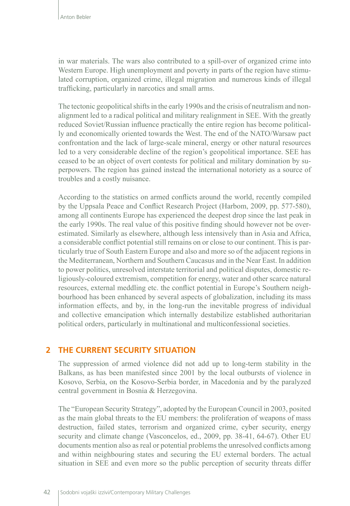in war materials. The wars also contributed to a spill-over of organized crime into Western Europe. High unemployment and poverty in parts of the region have stimulated corruption, organized crime, illegal migration and numerous kinds of illegal trafficking, particularly in narcotics and small arms.

The tectonic geopolitical shifts in the early 1990s and the crisis of neutralism and nonalignment led to a radical political and military realignment in SEE. With the greatly reduced Soviet/Russian influence practically the entire region has become politically and economically oriented towards the West. The end of the NATO/Warsaw pact confrontation and the lack of large-scale mineral, energy or other natural resources led to a very considerable decline of the region's geopolitical importance. SEE has ceased to be an object of overt contests for political and military domination by superpowers. The region has gained instead the international notoriety as a source of troubles and a costly nuisance.

According to the statistics on armed conflicts around the world, recently compiled by the Uppsala Peace and Conflict Research Project (Harbom, 2009, pp. 577-580), among all continents Europe has experienced the deepest drop since the last peak in the early 1990s. The real value of this positive finding should however not be overestimated. Similarly as elsewhere, although less intensively than in Asia and Africa, a considerable conflict potential still remains on or close to our continent. This is particularly true of South Eastern Europe and also and more so of the adjacent regions in the Mediterranean, Northern and Southern Caucasus and in the Near East. In addition to power politics, unresolved interstate territorial and political disputes, domestic religiously-coloured extremism, competition for energy, water and other scarce natural resources, external meddling etc. the conflict potential in Europe's Southern neighbourhood has been enhanced by several aspects of globalization, including its mass information effects, and by, in the long-run the inevitable progress of individual and collective emancipation which internally destabilize established authoritarian political orders, particularly in multinational and multiconfessional societies.

### **2 THE CURRENT SECURITY SITUATION**

The suppression of armed violence did not add up to long-term stability in the Balkans, as has been manifested since 2001 by the local outbursts of violence in Kosovo, Serbia, on the Kosovo-Serbia border, in Macedonia and by the paralyzed central government in Bosnia & Herzegovina.

The "European Security Strategy", adopted by the European Council in 2003, posited as the main global threats to the EU members: the proliferation of weapons of mass destruction, failed states, terrorism and organized crime, cyber security, energy security and climate change (Vasconcelos, ed., 2009, pp. 38-41, 64-67). Other EU documents mention also as real or potential problems the unresolved conflicts among and within neighbouring states and securing the EU external borders. The actual situation in SEE and even more so the public perception of security threats differ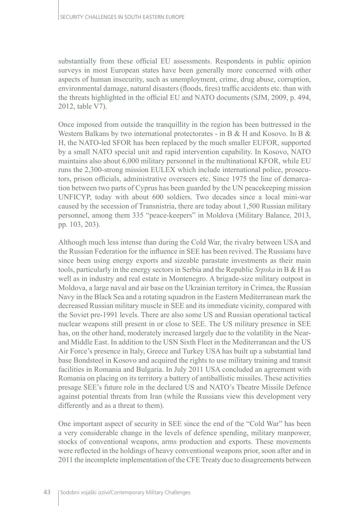substantially from these official EU assessments. Respondents in public opinion surveys in most European states have been generally more concerned with other aspects of human insecurity, such as unemployment, crime, drug abuse, corruption, environmental damage, natural disasters (floods, fires) traffic accidents etc. than with the threats highlighted in the official EU and NATO documents (SJM, 2009, p. 494, 2012, table V7).

Once imposed from outside the tranquillity in the region has been buttressed in the Western Balkans by two international protectorates - in B & H and Kosovo. In B & H, the NATO-led SFOR has been replaced by the much smaller EUFOR, supported by a small NATO special unit and rapid intervention capability. In Kosovo, NATO maintains also about 6,000 military personnel in the multinational KFOR, while EU runs the 2,300-strong mission EULEX which include international police, prosecutors, prison officials, administrative overseers etc. Since 1975 the line of demarcation between two parts of Cyprus has been guarded by the UN peacekeeping mission UNFICYP, today with about 600 soldiers. Two decades since a local mini-war caused by the secession of Transnistria, there are today about 1,500 Russian military personnel, among them 335 "peace-keepers" in Moldova (Military Balance, 2013, pp. 103, 203).

Although much less intense than during the Cold War, the rivalry between USA and the Russian Federation for the influence in SEE has been revived. The Russians have since been using energy exports and sizeable parastate investments as their main tools, particularly in the energy sectors in Serbia and the Republic *Srpska* in B & H as well as in industry and real estate in Montenegro. A brigade-size military outpost in Moldova, a large naval and air base on the Ukrainian territory in Crimea, the Russian Navy in the Black Sea and a rotating squadron in the Eastern Mediterranean mark the decreased Russian military muscle in SEE and its immediate vicinity, compared with the Soviet pre-1991 levels. There are also some US and Russian operational tactical nuclear weapons still present in or close to SEE. The US military presence in SEE has, on the other hand, moderately increased largely due to the volatility in the Nearand Middle East. In addition to the USN Sixth Fleet in the Mediterranean and the US Air Force's presence in Italy, Greece and Turkey USA has built up a substantial land base Bondsteel in Kosovo and acquired the rights to use military training and transit facilities in Romania and Bulgaria. In July 2011 USA concluded an agreement with Romania on placing on its territory a battery of antiballistic missiles. These activities presage SEE's future role in the declared US and NATO's Theatre Missile Defence against potential threats from Iran (while the Russians view this development very differently and as a threat to them).

One important aspect of security in SEE since the end of the "Cold War" has been a very considerable change in the levels of defence spending, military manpower, stocks of conventional weapons, arms production and exports. These movements were reflected in the holdings of heavy conventional weapons prior, soon after and in 2011 the incomplete implementation of the CFE Treaty due to disagreements between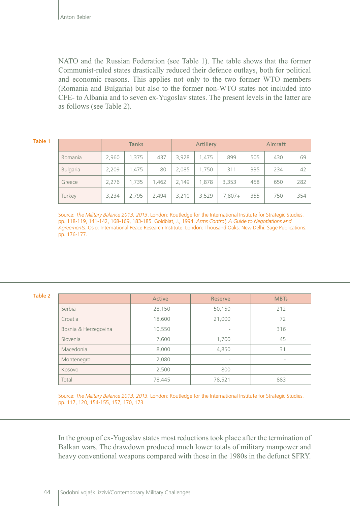NATO and the Russian Federation (see Table 1). The table shows that the former Communist-ruled states drastically reduced their defence outlays, both for political and economic reasons. This applies not only to the two former WTO members (Romania and Bulgaria) but also to the former non-WTO states not included into CFE- to Albania and to seven ex-Yugoslav states. The present levels in the latter are as follows (see Table 2).

#### Table 1

|  |                 | <b>Tanks</b> |       |       | Artillery |       |          | Aircraft |     |     |
|--|-----------------|--------------|-------|-------|-----------|-------|----------|----------|-----|-----|
|  | Romania         | 2,960        | 1,375 | 437   | 3,928     | 1,475 | 899      | 505      | 430 | 69  |
|  | <b>Bulgaria</b> | 2,209        | 1.475 | 80    | 2,085     | 1,750 | 311      | 335      | 234 | 42  |
|  | Greece          | 2,276        | 1,735 | 1.462 | 2,149     | 1.878 | 3,353    | 458      | 650 | 282 |
|  | Turkey          | 3,234        | 2,795 | 2,494 | 3,210     | 3,529 | $7,807+$ | 355      | 750 | 354 |

Source: *The Military Balance 2013, 2013*. London: Routledge for the International Institute for Strategic Studies. pp. 118-119, 141-142, 168-169, 183-185. Goldblat, J., 1994. *Arms Control, A Guide to Negotiations and Agreements*. Oslo: International Peace Research Institute: London: Thousand Oaks: New Delhi: Sage Publications. pp. 176-177.

### Table 2

|                      | Active | <b>Reserve</b> | <b>MBTs</b>              |
|----------------------|--------|----------------|--------------------------|
| Serbia               | 28,150 | 50,150         | 212                      |
| Croatia              | 18,600 | 21,000         | 72                       |
| Bosnia & Herzegovina | 10,550 | ۰              | 316                      |
| Slovenia             | 7,600  | 1,700          | 45                       |
| Macedonia            | 8,000  | 4,850          | 31                       |
| Montenegro           | 2,080  | ۰              | $\overline{\phantom{0}}$ |
| Kosovo               | 2,500  | 800            | $\overline{\phantom{0}}$ |
| Total                | 78,445 | 78,521         | 883                      |

Source: *The Military Balance 2013, 2013.* London: Routledge for the International Institute for Strategic Studies. pp. 117, 120, 154-155, 157, 170, 173.

In the group of ex-Yugoslav states most reductions took place after the termination of Balkan wars. The drawdown produced much lower totals of military manpower and heavy conventional weapons compared with those in the 1980s in the defunct SFRY.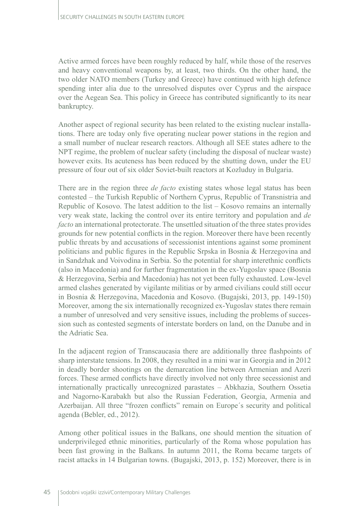Active armed forces have been roughly reduced by half, while those of the reserves and heavy conventional weapons by, at least, two thirds. On the other hand, the two older NATO members (Turkey and Greece) have continued with high defence spending inter alia due to the unresolved disputes over Cyprus and the airspace over the Aegean Sea. This policy in Greece has contributed significantly to its near bankruptcy.

Another aspect of regional security has been related to the existing nuclear installations. There are today only five operating nuclear power stations in the region and a small number of nuclear research reactors. Although all SEE states adhere to the NPT regime, the problem of nuclear safety (including the disposal of nuclear waste) however exits. Its acuteness has been reduced by the shutting down, under the EU pressure of four out of six older Soviet-built reactors at Kozluduy in Bulgaria.

There are in the region three *de facto* existing states whose legal status has been contested – the Turkish Republic of Northern Cyprus, Republic of Transnistria and Republic of Kosovo. The latest addition to the list – Kosovo remains an internally very weak state, lacking the control over its entire territory and population and *de facto* an international protectorate. The unsettled situation of the three states provides grounds for new potential conflicts in the region. Moreover there have been recently public threats by and accusations of secessionist intentions against some prominent politicians and public figures in the Republic Srpska in Bosnia & Herzegovina and in Sandzhak and Voivodina in Serbia. So the potential for sharp interethnic conflicts (also in Macedonia) and for further fragmentation in the ex-Yugoslav space (Bosnia & Herzegovina, Serbia and Macedonia) has not yet been fully exhausted. Low-level armed clashes generated by vigilante militias or by armed civilians could still occur in Bosnia & Herzegovina, Macedonia and Kosovo. (Bugajski, 2013, pp. 149-150) Moreover, among the six internationally recognized ex-Yugoslav states there remain a number of unresolved and very sensitive issues, including the problems of succession such as contested segments of interstate borders on land, on the Danube and in the Adriatic Sea.

In the adjacent region of Transcaucasia there are additionally three flashpoints of sharp interstate tensions. In 2008, they resulted in a mini war in Georgia and in 2012 in deadly border shootings on the demarcation line between Armenian and Azeri forces. These armed conflicts have directly involved not only three secessionist and internationally practically unrecognized parastates – Abkhazia, Southern Ossetia and Nagorno-Karabakh but also the Russian Federation, Georgia, Armenia and Azerbaijan. All three "frozen conflicts" remain on Europe´s security and political agenda (Bebler, ed., 2012).

Among other political issues in the Balkans, one should mention the situation of underprivileged ethnic minorities, particularly of the Roma whose population has been fast growing in the Balkans. In autumn 2011, the Roma became targets of racist attacks in 14 Bulgarian towns. (Bugajski, 2013, p. 152) Moreover, there is in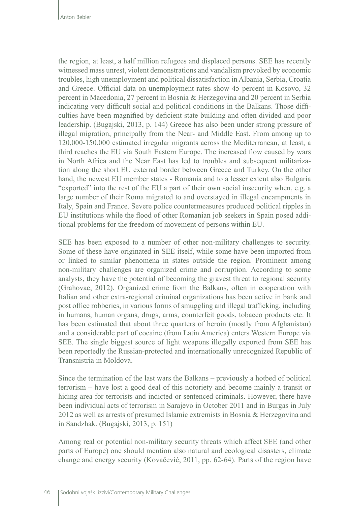the region, at least, a half million refugees and displaced persons. SEE has recently witnessed mass unrest, violent demonstrations and vandalism provoked by economic troubles, high unemployment and political dissatisfaction in Albania, Serbia, Croatia and Greece. Official data on unemployment rates show 45 percent in Kosovo, 32 percent in Macedonia, 27 percent in Bosnia & Herzegovina and 20 percent in Serbia indicating very difficult social and political conditions in the Balkans. Those difficulties have been magnified by deficient state building and often divided and poor leadership. (Bugajski, 2013, p. 144) Greece has also been under strong pressure of illegal migration, principally from the Near- and Middle East. From among up to 120,000-150,000 estimated irregular migrants across the Mediterranean, at least, a third reaches the EU via South Eastern Europe. The increased flow caused by wars in North Africa and the Near East has led to troubles and subsequent militarization along the short EU external border between Greece and Turkey. On the other hand, the newest EU member states - Romania and to a lesser extent also Bulgaria "exported" into the rest of the EU a part of their own social insecurity when, e.g. a large number of their Roma migrated to and overstayed in illegal encampments in Italy, Spain and France. Severe police countermeasures produced political ripples in EU institutions while the flood of other Romanian job seekers in Spain posed additional problems for the freedom of movement of persons within EU.

SEE has been exposed to a number of other non-military challenges to security. Some of these have originated in SEE itself, while some have been imported from or linked to similar phenomena in states outside the region. Prominent among non-military challenges are organized crime and corruption. According to some analysts, they have the potential of becoming the gravest threat to regional security (Grahovac, 2012). Organized crime from the Balkans, often in cooperation with Italian and other extra-regional criminal organizations has been active in bank and post office robberies, in various forms of smuggling and illegal trafficking, including in humans, human organs, drugs, arms, counterfeit goods, tobacco products etc. It has been estimated that about three quarters of heroin (mostly from Afghanistan) and a considerable part of cocaine (from Latin America) enters Western Europe via SEE. The single biggest source of light weapons illegally exported from SEE has been reportedly the Russian-protected and internationally unrecognized Republic of Transnistria in Moldova.

Since the termination of the last wars the Balkans – previously a hotbed of political terrorism – have lost a good deal of this notoriety and become mainly a transit or hiding area for terrorists and indicted or sentenced criminals. However, there have been individual acts of terrorism in Sarajevo in October 2011 and in Burgas in July 2012 as well as arrests of presumed Islamic extremists in Bosnia & Herzegovina and in Sandzhak. (Bugajski, 2013, p. 151)

Among real or potential non-military security threats which affect SEE (and other parts of Europe) one should mention also natural and ecological disasters, climate change and energy security (Kovačević, 2011, pp. 62-64). Parts of the region have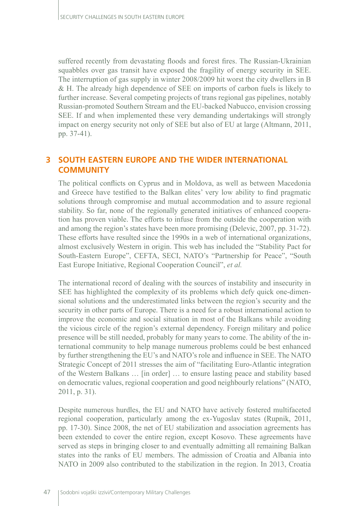suffered recently from devastating floods and forest fires. The Russian-Ukrainian squabbles over gas transit have exposed the fragility of energy security in SEE. The interruption of gas supply in winter 2008/2009 hit worst the city dwellers in B & H. The already high dependence of SEE on imports of carbon fuels is likely to further increase. Several competing projects of trans regional gas pipelines, notably Russian-promoted Southern Stream and the EU-backed Nabucco, envision crossing SEE. If and when implemented these very demanding undertakings will strongly impact on energy security not only of SEE but also of EU at large (Altmann, 2011, pp. 37-41).

## **3 SOUTH EASTERN EUROPE AND THE WIDER INTERNATIONAL COMMUNITY**

The political conflicts on Cyprus and in Moldova, as well as between Macedonia and Greece have testified to the Balkan elites' very low ability to find pragmatic solutions through compromise and mutual accommodation and to assure regional stability. So far, none of the regionally generated initiatives of enhanced cooperation has proven viable. The efforts to infuse from the outside the cooperation with and among the region's states have been more promising (Delevic, 2007, pp. 31-72). These efforts have resulted since the 1990s in a web of international organizations, almost exclusively Western in origin. This web has included the "Stability Pact for South-Eastern Europe", CEFTA, SECI, NATO's "Partnership for Peace", "South East Europe Initiative, Regional Cooperation Council", *et al.*

The international record of dealing with the sources of instability and insecurity in SEE has highlighted the complexity of its problems which defy quick one-dimensional solutions and the underestimated links between the region's security and the security in other parts of Europe. There is a need for a robust international action to improve the economic and social situation in most of the Balkans while avoiding the vicious circle of the region's external dependency. Foreign military and police presence will be still needed, probably for many years to come. The ability of the international community to help manage numerous problems could be best enhanced by further strengthening the EU's and NATO's role and influence in SEE. The NATO Strategic Concept of 2011 stresses the aim of "facilitating Euro-Atlantic integration of the Western Balkans … [in order] … to ensure lasting peace and stability based on democratic values, regional cooperation and good neighbourly relations" (NATO, 2011, p. 31).

Despite numerous hurdles, the EU and NATO have actively fostered multifaceted regional cooperation, particularly among the ex-Yugoslav states (Rupnik, 2011, pp. 17-30). Since 2008, the net of EU stabilization and association agreements has been extended to cover the entire region, except Kosovo. These agreements have served as steps in bringing closer to and eventually admitting all remaining Balkan states into the ranks of EU members. The admission of Croatia and Albania into NATO in 2009 also contributed to the stabilization in the region. In 2013, Croatia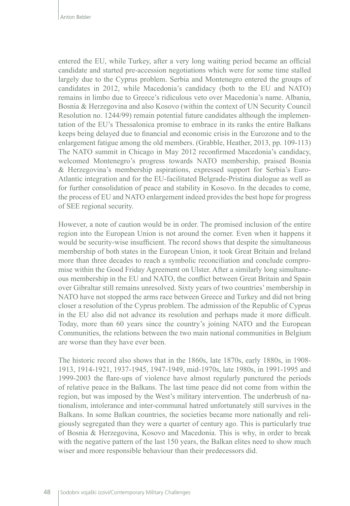entered the EU, while Turkey, after a very long waiting period became an official candidate and started pre-accession negotiations which were for some time stalled largely due to the Cyprus problem. Serbia and Montenegro entered the groups of candidates in 2012, while Macedonia's candidacy (both to the EU and NATO) remains in limbo due to Greece's ridiculous veto over Macedonia's name. Albania, Bosnia & Herzegovina and also Kosovo (within the context of UN Security Council Resolution no. 1244/99) remain potential future candidates although the implementation of the EU's Thessalonica promise to embrace in its ranks the entire Balkans keeps being delayed due to financial and economic crisis in the Eurozone and to the enlargement fatigue among the old members. (Grabble, Heather, 2013, pp. 109-113) The NATO summit in Chicago in May 2012 reconfirmed Macedonia's candidacy, welcomed Montenegro's progress towards NATO membership, praised Bosnia & Herzegovina's membership aspirations, expressed support for Serbia's Euro-Atlantic integration and for the EU-facilitated Belgrade-Pristina dialogue as well as for further consolidation of peace and stability in Kosovo. In the decades to come, the process of EU and NATO enlargement indeed provides the best hope for progress of SEE regional security.

However, a note of caution would be in order. The promised inclusion of the entire region into the European Union is not around the corner. Even when it happens it would be security-wise insufficient. The record shows that despite the simultaneous membership of both states in the European Union, it took Great Britain and Ireland more than three decades to reach a symbolic reconciliation and conclude compromise within the Good Friday Agreement on Ulster. After a similarly long simultaneous membership in the EU and NATO, the conflict between Great Britain and Spain over Gibraltar still remains unresolved. Sixty years of two countries' membership in NATO have not stopped the arms race between Greece and Turkey and did not bring closer a resolution of the Cyprus problem. The admission of the Republic of Cyprus in the EU also did not advance its resolution and perhaps made it more difficult. Today, more than 60 years since the country's joining NATO and the European Communities, the relations between the two main national communities in Belgium are worse than they have ever been.

The historic record also shows that in the 1860s, late 1870s, early 1880s, in 1908- 1913, 1914-1921, 1937-1945, 1947-1949, mid-1970s, late 1980s, in 1991-1995 and 1999-2003 the flare-ups of violence have almost regularly punctured the periods of relative peace in the Balkans. The last time peace did not come from within the region, but was imposed by the West's military intervention. The underbrush of nationalism, intolerance and inter-communal hatred unfortunately still survives in the Balkans. In some Balkan countries, the societies became more nationally and religiously segregated than they were a quarter of century ago. This is particularly true of Bosnia & Herzegovina, Kosovo and Macedonia. This is why, in order to break with the negative pattern of the last 150 years, the Balkan elites need to show much wiser and more responsible behaviour than their predecessors did.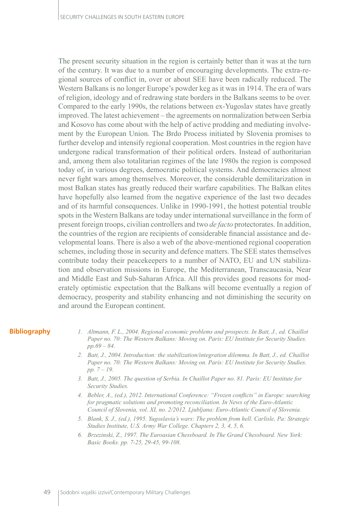The present security situation in the region is certainly better than it was at the turn of the century. It was due to a number of encouraging developments. The extra-regional sources of conflict in, over or about SEE have been radically reduced. The Western Balkans is no longer Europe's powder keg as it was in 1914. The era of wars of religion, ideology and of redrawing state borders in the Balkans seems to be over. Compared to the early 1990s, the relations between ex-Yugoslav states have greatly improved. The latest achievement – the agreements on normalization between Serbia and Kosovo has come about with the help of active prodding and mediating involvement by the European Union. The Brdo Process initiated by Slovenia promises to further develop and intensify regional cooperation. Most countries in the region have undergone radical transformation of their political orders. Instead of authoritarian and, among them also totalitarian regimes of the late 1980s the region is composed today of, in various degrees, democratic political systems. And democracies almost never fight wars among themselves. Moreover, the considerable demilitarization in most Balkan states has greatly reduced their warfare capabilities. The Balkan elites have hopefully also learned from the negative experience of the last two decades and of its harmful consequences. Unlike in 1990-1991, the hottest potential trouble spots in the Western Balkans are today under international surveillance in the form of present foreign troops, civilian controllers and two *de facto* protectorates. In addition, the countries of the region are recipients of considerable financial assistance and developmental loans. There is also a web of the above-mentioned regional cooperation schemes, including those in security and defence matters. The SEE states themselves contribute today their peacekeepers to a number of NATO, EU and UN stabilization and observation missions in Europe, the Mediterranean, Transcaucasia, Near and Middle East and Sub-Saharan Africa. All this provides good reasons for moderately optimistic expectation that the Balkans will become eventually a region of democracy, prosperity and stability enhancing and not diminishing the security on and around the European continent.

### **Bibliography**

- *1. Altmann, F. L., 2004. Regional economic problems and prospects. In Batt, J., ed. Chaillot Paper no. 70: The Western Balkans: Moving on. Paris: EU Institute for Security Studies. pp.69 – 84.*
- *2. Batt, J., 2004. Introduction: the stabilization/integration dilemma. In Batt, J., ed. Chaillot Paper no. 70: The Western Balkans: Moving on. Paris: EU Institute for Security Studies. pp. 7 – 19.*
- *3. Batt, J., 2005. The question of Serbia. In Chaillot Paper no. 81. Paris: EU Institute for Security Studies.*
- *4. Bebler, A., (ed.), 2012. International Conference: "Frozen conflicts" in Europe: searching for pragmatic solutions and promoting reconciliation. In News of the Euro-Atlantic Council of Slovenia, vol. XI, no. 2/2012. Ljubljana: Euro-Atlantic Council of Slovenia.*
- *5. Blank, S. J., (ed.), 1995. Yugoslavia's wars: The problem from hell. Carlisle, Pa: Strategic Studies Institute, U.S. Army War College. Chapters 2, 3, 4, 5, 6.*
- *6. Brzezinski, Z., 1997. The Euroasian Chessboard. In The Grand Chessboard. New York: Basic Books. pp. 7-25, 29-45, 99-108.*